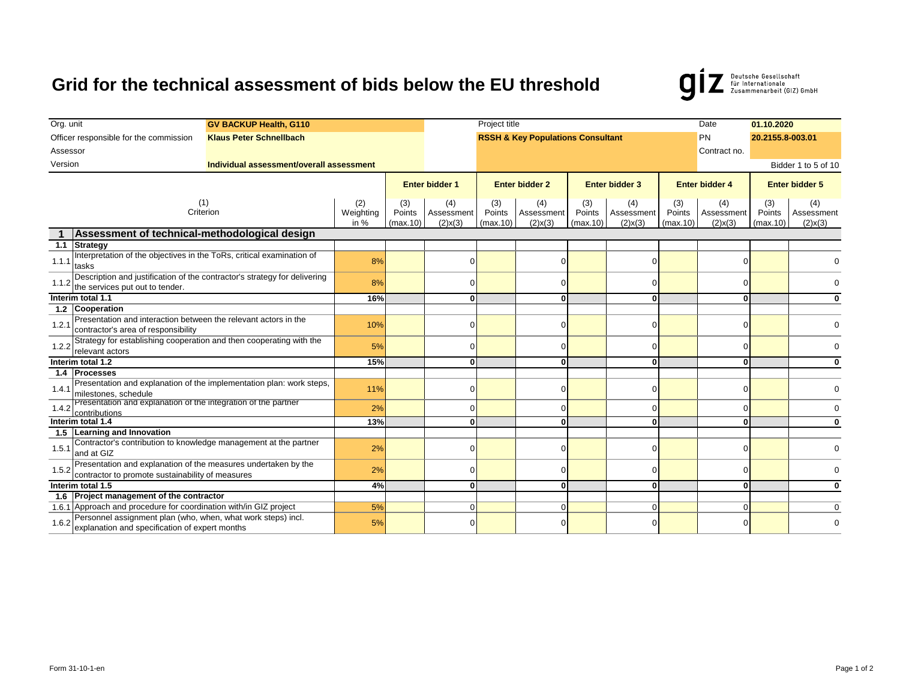## **Grid for the technical assessment of bids below the EU threshold**



| Org. unit<br><b>GV BACKUP Health, G110</b>                               |                                                                                                                    | Project title            |                           |                                    |                           |                                              |                           |                                       |                           | Date                               | 01.10.2020                |                                    |  |
|--------------------------------------------------------------------------|--------------------------------------------------------------------------------------------------------------------|--------------------------|---------------------------|------------------------------------|---------------------------|----------------------------------------------|---------------------------|---------------------------------------|---------------------------|------------------------------------|---------------------------|------------------------------------|--|
| Officer responsible for the commission<br><b>Klaus Peter Schnellbach</b> |                                                                                                                    |                          |                           |                                    |                           | <b>RSSH &amp; Key Populations Consultant</b> |                           | PN                                    | 20.2155.8-003.01          |                                    |                           |                                    |  |
| Assessor                                                                 |                                                                                                                    |                          |                           |                                    |                           |                                              |                           | Contract no.                          |                           |                                    |                           |                                    |  |
| Version<br>Individual assessment/overall assessment                      |                                                                                                                    |                          |                           |                                    |                           |                                              |                           |                                       |                           |                                    | Bidder 1 to 5 of 10       |                                    |  |
|                                                                          |                                                                                                                    |                          |                           |                                    |                           |                                              |                           |                                       |                           |                                    |                           |                                    |  |
|                                                                          |                                                                                                                    |                          | <b>Enter bidder 1</b>     |                                    | <b>Enter bidder 2</b>     |                                              | <b>Enter bidder 3</b>     |                                       | <b>Enter bidder 4</b>     |                                    | <b>Enter bidder 5</b>     |                                    |  |
| (1)<br>Criterion                                                         |                                                                                                                    | (2)<br>Weighting<br>in % | (3)<br>Points<br>(max.10) | (4)<br>Assessment<br>$(2)$ x $(3)$ | (3)<br>Points<br>(max.10) | (4)<br>Assessment<br>$(2)$ x $(3)$           | (3)<br>Points<br>(max.10) | (4)<br>Assessment<br>$(2) \times (3)$ | (3)<br>Points<br>(max.10) | (4)<br>Assessment<br>$(2)$ x $(3)$ | (3)<br>Points<br>(max.10) | (4)<br>Assessment<br>$(2)$ x $(3)$ |  |
| Assessment of technical-methodological design                            |                                                                                                                    |                          |                           |                                    |                           |                                              |                           |                                       |                           |                                    |                           |                                    |  |
|                                                                          | 1.1 Strategy                                                                                                       |                          |                           |                                    |                           |                                              |                           |                                       |                           |                                    |                           |                                    |  |
| 1.1.1                                                                    | Interpretation of the objectives in the ToRs, critical examination of<br>tasks                                     |                          | 8%                        |                                    |                           |                                              |                           |                                       |                           |                                    |                           |                                    |  |
| 1.1.2                                                                    | Description and justification of the contractor's strategy for delivering<br>the services put out to tender.       |                          | 8%                        |                                    | 0                         |                                              | O.                        |                                       |                           |                                    | $\Omega$                  |                                    |  |
| Interim total 1.1                                                        |                                                                                                                    | 16%                      |                           | o١                                 |                           | 0                                            |                           |                                       |                           | $\Omega$                           |                           |                                    |  |
|                                                                          | 1.2 Cooperation                                                                                                    |                          |                           |                                    |                           |                                              |                           |                                       |                           |                                    |                           |                                    |  |
| 1.2.1                                                                    | Presentation and interaction between the relevant actors in the<br>contractor's area of responsibility             |                          | 10%                       |                                    | n                         |                                              | 0                         |                                       |                           |                                    |                           |                                    |  |
| 1.2.2                                                                    | Strategy for establishing cooperation and then cooperating with the<br>relevant actors                             |                          | 5%                        |                                    | U                         |                                              | 0                         |                                       |                           |                                    | $\Omega$                  |                                    |  |
| Interim total 1.2                                                        |                                                                                                                    | 15%                      |                           | $\mathbf{0}$                       |                           | 0                                            |                           | 0                                     |                           | $\Omega$                           |                           |                                    |  |
|                                                                          | 1.4 Processes                                                                                                      |                          |                           |                                    |                           |                                              |                           |                                       |                           |                                    |                           |                                    |  |
| 1.4.1                                                                    | Presentation and explanation of the implementation plan: work steps,<br>milestones, schedule                       |                          | 11%                       |                                    | n                         |                                              | O.                        |                                       |                           |                                    | $\Omega$                  |                                    |  |
| 1.4.2                                                                    | Presentation and explanation of the integration of the partner<br>contributions                                    |                          | 2%                        |                                    | 0                         |                                              | 0                         |                                       |                           |                                    |                           |                                    |  |
| Interim total 1.4                                                        |                                                                                                                    | 13%                      |                           | o١                                 |                           | $\bf{0}$                                     |                           | <sup>0</sup>                          |                           | $\Omega$                           |                           |                                    |  |
|                                                                          | 1.5 Learning and Innovation                                                                                        |                          |                           |                                    |                           |                                              |                           |                                       |                           |                                    |                           |                                    |  |
| 1.5.1                                                                    | Contractor's contribution to knowledge management at the partner<br>and at GIZ                                     |                          | 2%                        |                                    | 0                         |                                              | 0                         |                                       |                           |                                    |                           |                                    |  |
| 1.5.2                                                                    | Presentation and explanation of the measures undertaken by the<br>contractor to promote sustainability of measures |                          | 2%                        |                                    | n                         |                                              | O.                        |                                       |                           |                                    |                           |                                    |  |
| Interim total 1.5                                                        |                                                                                                                    | 4%                       |                           | $\mathbf{0}$                       |                           | $\mathbf{0}$                                 |                           | $\Omega$                              |                           | $\Omega$                           |                           |                                    |  |
|                                                                          | 1.6 Project management of the contractor                                                                           |                          |                           |                                    |                           |                                              |                           |                                       |                           |                                    |                           |                                    |  |
|                                                                          | 1.6.1 Approach and procedure for coordination with/in GIZ project                                                  |                          | 5%                        |                                    | U                         |                                              | $\Omega$                  |                                       | $\Omega$                  |                                    | $\Omega$                  |                                    |  |
| 1.6.2                                                                    | Personnel assignment plan (who, when, what work steps) incl.<br>explanation and specification of expert months     |                          | 5%                        |                                    |                           |                                              |                           |                                       |                           |                                    |                           |                                    |  |